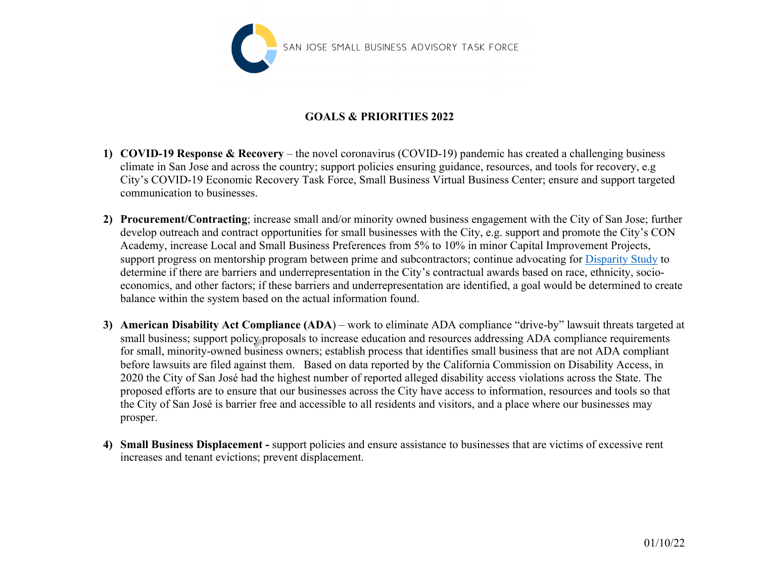

## **GOALS & PRIORITIES 2022**

- **1) COVID-19 Response & Recovery** the novel coronavirus (COVID-19) pandemic has created a challenging business climate in San Jose and across the country; support policies ensuring guidance, resources, and tools for recovery, e.g City's COVID-19 Economic Recovery Task Force, Small Business Virtual Business Center; ensure and support targeted communication to businesses.
- **2) Procurement/Contracting**; increase small and/or minority owned business engagement with the City of San Jose; further develop outreach and contract opportunities for small businesses with the City, e.g. support and promote the City's CON Academy, increase Local and Small Business Preferences from 5% to 10% in minor Capital Improvement Projects, support progress on mentorship program between prime and subcontractors; continue advocating for Disparity Study to determine if there are barriers and underrepresentation in the City's contractual awards based on race, ethnicity, socioeconomics, and other factors; if these barriers and underrepresentation are identified, a goal would be determined to create balance within the system based on the actual information found.
- **3) American Disability Act Compliance (ADA**) work to eliminate ADA compliance "drive-by" lawsuit threats targeted at small business; support policy proposals to increase education and resources addressing ADA compliance requirements for small, minority-owned business owners; establish process that identifies small business that are not ADA compliant before lawsuits are filed against them. Based on data reported by the California Commission on Disability Access, in 2020 the City of San José had the highest number of reported alleged disability access violations across the State. The proposed efforts are to ensure that our businesses across the City have access to information, resources and tools so that the City of San José is barrier free and accessible to all residents and visitors, and a place where our businesses may prosper.
- **4) Small Business Displacement -** support policies and ensure assistance to businesses that are victims of excessive rent increases and tenant evictions; prevent displacement.